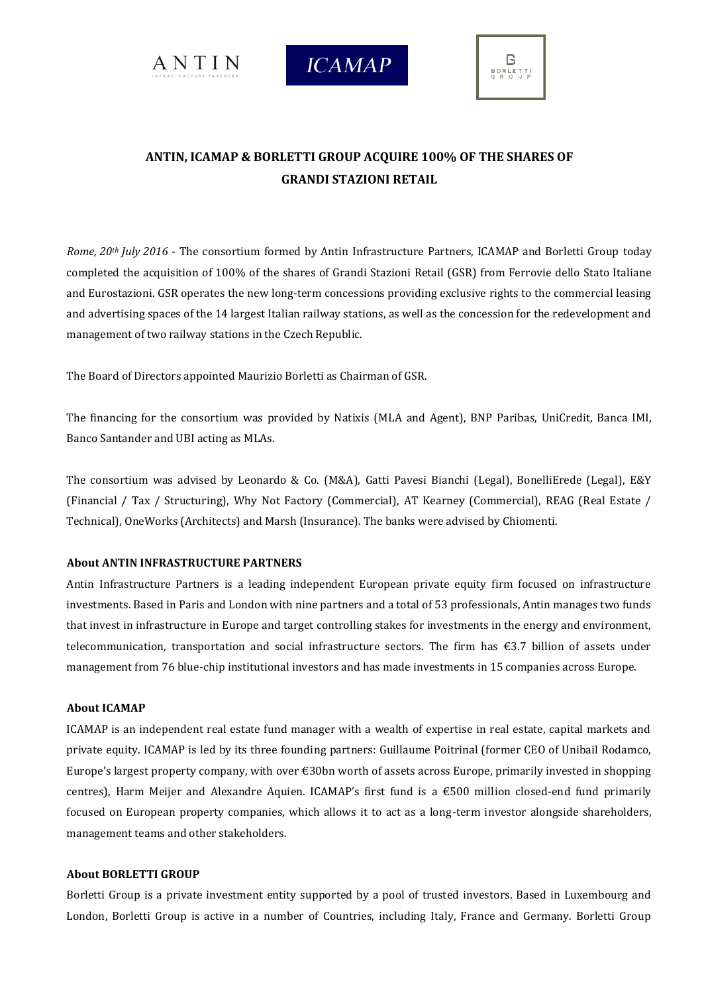





## **ANTIN, ICAMAP & BORLETTI GROUP ACQUIRE 100% OF THE SHARES OF GRANDI STAZIONI RETAIL**

*Rome, 20th July 2016* - The consortium formed by Antin Infrastructure Partners, ICAMAP and Borletti Group today completed the acquisition of 100% of the shares of Grandi Stazioni Retail (GSR) from Ferrovie dello Stato Italiane and Eurostazioni. GSR operates the new long-term concessions providing exclusive rights to the commercial leasing and advertising spaces of the 14 largest Italian railway stations, as well as the concession for the redevelopment and management of two railway stations in the Czech Republic.

The Board of Directors appointed Maurizio Borletti as Chairman of GSR.

The financing for the consortium was provided by Natixis (MLA and Agent), BNP Paribas, UniCredit, Banca IMI, Banco Santander and UBI acting as MLAs.

The consortium was advised by Leonardo & Co. (M&A), Gatti Pavesi Bianchi (Legal), BonelliErede (Legal), E&Y (Financial / Tax / Structuring), Why Not Factory (Commercial), AT Kearney (Commercial), REAG (Real Estate / Technical), OneWorks (Architects) and Marsh (Insurance). The banks were advised by Chiomenti.

## **About ANTIN INFRASTRUCTURE PARTNERS**

Antin Infrastructure Partners is a leading independent European private equity firm focused on infrastructure investments. Based in Paris and London with nine partners and a total of 53 professionals, Antin manages two funds that invest in infrastructure in Europe and target controlling stakes for investments in the energy and environment, telecommunication, transportation and social infrastructure sectors. The firm has €3.7 billion of assets under management from 76 blue-chip institutional investors and has made investments in 15 companies across Europe.

## **About ICAMAP**

ICAMAP is an independent real estate fund manager with a wealth of expertise in real estate, capital markets and private equity. ICAMAP is led by its three founding partners: Guillaume Poitrinal (former CEO of Unibail Rodamco, Europe's largest property company, with over €30bn worth of assets across Europe, primarily invested in shopping centres), Harm Meijer and Alexandre Aquien. ICAMAP's first fund is a €500 million closed-end fund primarily focused on European property companies, which allows it to act as a long-term investor alongside shareholders, management teams and other stakeholders.

## **About BORLETTI GROUP**

Borletti Group is a private investment entity supported by a pool of trusted investors. Based in Luxembourg and London, Borletti Group is active in a number of Countries, including Italy, France and Germany. Borletti Group